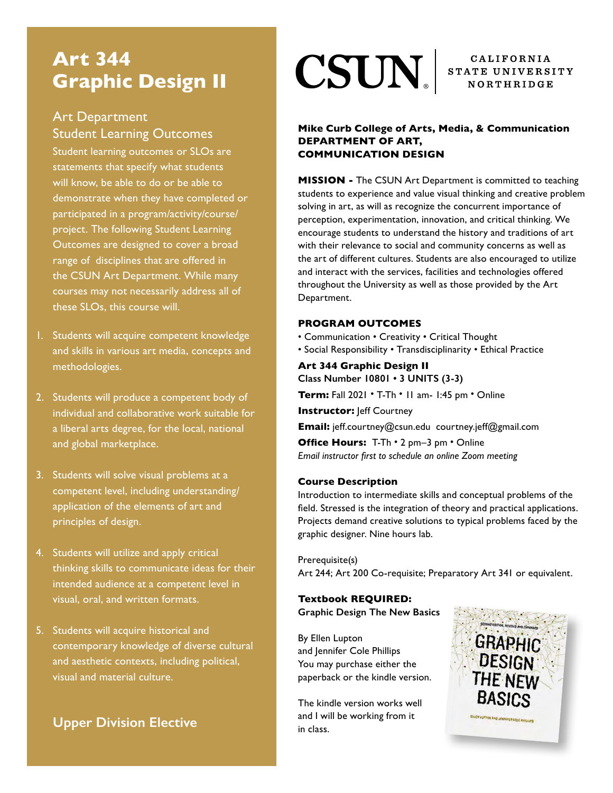## **Art 344 Graphic Design II**

## Art Department Student Learning Outcomes

 Student learning outcomes or SLOs are statements that specify what students will know, be able to do or be able to demonstrate when they have completed or participated in a program/activity/course/ project. The following Student Learning Outcomes are designed to cover a broad range of disciplines that are offered in the CSUN Art Department. While many courses may not necessarily address all of these SLOs, this course will.

- 1. Students will acquire competent knowledge and skills in various art media, concepts and methodologies.
- 2. Students will produce a competent body of individual and collaborative work suitable for a liberal arts degree, for the local, national and global marketplace.
- 3. Students will solve visual problems at a competent level, including understanding/ application of the elements of art and principles of design.
- 4. Students will utilize and apply critical thinking skills to communicate ideas for their intended audience at a competent level in visual, oral, and written formats.
- 5. Students will acquire historical and contemporary knowledge of diverse cultural and aesthetic contexts, including political, visual and material culture.

## **Upper Division Elective**

# $\textbf{CSUN}_{\tiny{\texttt{S}}}\vert$  STATE UNIVERSITY

CALIFORNIA

#### **Mike Curb College of Arts, Media, & Communication DEPARTMENT OF ART, COMMUNICATION DESIGN**

**MISSION -** The CSUN Art Department is committed to teaching students to experience and value visual thinking and creative problem solving in art, as will as recognize the concurrent importance of perception, experimentation, innovation, and critical thinking. We encourage students to understand the history and traditions of art with their relevance to social and community concerns as well as the art of different cultures. Students are also encouraged to utilize and interact with the services, facilities and technologies offered throughout the University as well as those provided by the Art Department.

#### **PROGRAM OUTCOMES**

- Communication Creativity Critical Thought
- Social Responsibility Transdisciplinarity Ethical Practice

#### **Art 344 Graphic Design II Class Number 10801 • 3 UNITS (3-3)**

**Term:** Fall 2021 • T-Th • 11 am- 1:45 pm • Online

**Instructor: leff Courtney** 

**Email:** jeff.courtney@csun.edu courtney.jeff@gmail.com

**Office Hours:** T-Th • 2 pm–3 pm • Online *Email instructor first to schedule an online Zoom meeting*

#### **Course Description**

Introduction to intermediate skills and conceptual problems of the field. Stressed is the integration of theory and practical applications. Projects demand creative solutions to typical problems faced by the graphic designer. Nine hours lab.

Prerequisite(s) Art 244; Art 200 Co-requisite; Preparatory Art 341 or equivalent.

#### **Textbook REQUIRED: Graphic Design The New Basics**

By Ellen Lupton and Jennifer Cole Phillips You may purchase either the paperback or the kindle version.

The kindle version works well and I will be working from it in class.

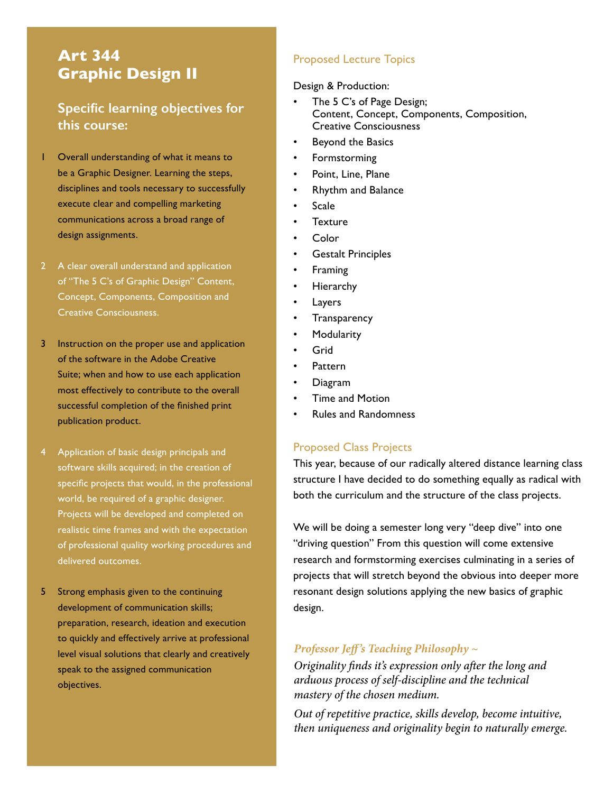## **Art 344 Graphic Design II**

### **Specific learning objectives for this course:**

- 1 Overall understanding of what it means to be a Graphic Designer. Learning the steps, disciplines and tools necessary to successfully execute clear and compelling marketing communications across a broad range of design assignments.
- 2 A clear overall understand and application of "The 5 C's of Graphic Design" Content, Concept, Components, Composition and Creative Consciousness.
- 3 Instruction on the proper use and application of the software in the Adobe Creative Suite; when and how to use each application most effectively to contribute to the overall successful completion of the finished print publication product.
- 4 Application of basic design principals and software skills acquired; in the creation of specific projects that would, in the professional world, be required of a graphic designer. Projects will be developed and completed on realistic time frames and with the expectation of professional quality working procedures and delivered outcomes.
- 5 Strong emphasis given to the continuing development of communication skills; preparation, research, ideation and execution to quickly and effectively arrive at professional level visual solutions that clearly and creatively speak to the assigned communication objectives.

#### Proposed Lecture Topics

#### Design & Production:

- The 5 C's of Page Design; Content, Concept, Components, Composition, Creative Consciousness
- Beyond the Basics
- Formstorming
- Point, Line, Plane
- Rhythm and Balance
- Scale
- **Texture**
- Color
- Gestalt Principles
- **Framing**
- **Hierarchy**
- **Layers**
- **Transparency**
- **Modularity**
- Grid
- Pattern
- Diagram
- Time and Motion
- Rules and Randomness

#### Proposed Class Projects

This year, because of our radically altered distance learning class structure I have decided to do something equally as radical with both the curriculum and the structure of the class projects.

We will be doing a semester long very "deep dive" into one "driving question" From this question will come extensive research and formstorming exercises culminating in a series of projects that will stretch beyond the obvious into deeper more resonant design solutions applying the new basics of graphic design.

#### *Professor Jeff 's Teaching Philosophy ~*

*Originality finds it's expression only after the long and arduous process of self-discipline and the technical mastery of the chosen medium.*

*Out of repetitive practice, skills develop, become intuitive, then uniqueness and originality begin to naturally emerge.*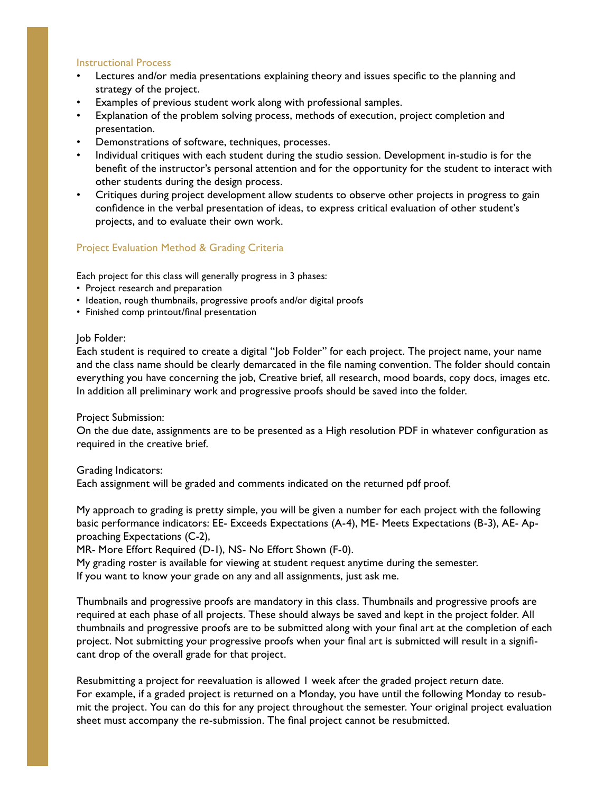#### Instructional Process

- Lectures and/or media presentations explaining theory and issues specific to the planning and strategy of the project.
- Examples of previous student work along with professional samples.
- Explanation of the problem solving process, methods of execution, project completion and presentation.
- Demonstrations of software, techniques, processes.
- Individual critiques with each student during the studio session. Development in-studio is for the benefit of the instructor's personal attention and for the opportunity for the student to interact with other students during the design process.
- Critiques during project development allow students to observe other projects in progress to gain confidence in the verbal presentation of ideas, to express critical evaluation of other student's projects, and to evaluate their own work.

#### Project Evaluation Method & Grading Criteria

Each project for this class will generally progress in 3 phases:

- Project research and preparation
- Ideation, rough thumbnails, progressive proofs and/or digital proofs
- Finished comp printout/final presentation

#### Job Folder:

Each student is required to create a digital "Job Folder" for each project. The project name, your name and the class name should be clearly demarcated in the file naming convention. The folder should contain everything you have concerning the job, Creative brief, all research, mood boards, copy docs, images etc. In addition all preliminary work and progressive proofs should be saved into the folder.

#### Project Submission:

On the due date, assignments are to be presented as a High resolution PDF in whatever configuration as required in the creative brief.

Grading Indicators:

Each assignment will be graded and comments indicated on the returned pdf proof.

My approach to grading is pretty simple, you will be given a number for each project with the following basic performance indicators: EE- Exceeds Expectations (A-4), ME- Meets Expectations (B-3), AE- Approaching Expectations (C-2),

MR- More Effort Required (D-1), NS- No Effort Shown (F-0).

My grading roster is available for viewing at student request anytime during the semester. If you want to know your grade on any and all assignments, just ask me.

Thumbnails and progressive proofs are mandatory in this class. Thumbnails and progressive proofs are required at each phase of all projects. These should always be saved and kept in the project folder. All thumbnails and progressive proofs are to be submitted along with your final art at the completion of each project. Not submitting your progressive proofs when your final art is submitted will result in a significant drop of the overall grade for that project.

Resubmitting a project for reevaluation is allowed 1 week after the graded project return date. For example, if a graded project is returned on a Monday, you have until the following Monday to resubmit the project. You can do this for any project throughout the semester. Your original project evaluation sheet must accompany the re-submission. The final project cannot be resubmitted.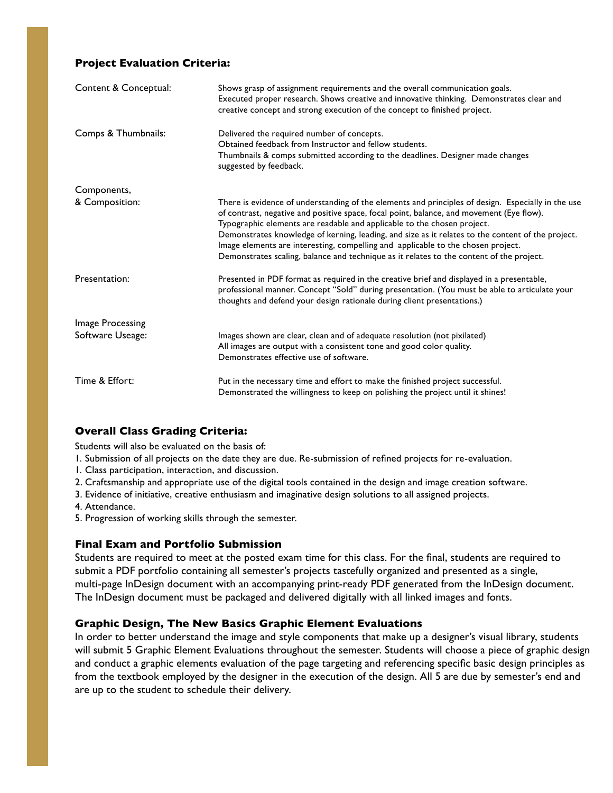#### **Project Evaluation Criteria:**

| Content & Conceptual: | Shows grasp of assignment requirements and the overall communication goals.<br>Executed proper research. Shows creative and innovative thinking. Demonstrates clear and<br>creative concept and strong execution of the concept to finished project.                                                                                                                                                                                                                                                                                                           |
|-----------------------|----------------------------------------------------------------------------------------------------------------------------------------------------------------------------------------------------------------------------------------------------------------------------------------------------------------------------------------------------------------------------------------------------------------------------------------------------------------------------------------------------------------------------------------------------------------|
| Comps & Thumbnails:   | Delivered the required number of concepts.<br>Obtained feedback from Instructor and fellow students.<br>Thumbnails & comps submitted according to the deadlines. Designer made changes<br>suggested by feedback.                                                                                                                                                                                                                                                                                                                                               |
| Components,           |                                                                                                                                                                                                                                                                                                                                                                                                                                                                                                                                                                |
| & Composition:        | There is evidence of understanding of the elements and principles of design. Especially in the use<br>of contrast, negative and positive space, focal point, balance, and movement (Eye flow).<br>Typographic elements are readable and applicable to the chosen project.<br>Demonstrates knowledge of kerning, leading, and size as it relates to the content of the project.<br>Image elements are interesting, compelling and applicable to the chosen project.<br>Demonstrates scaling, balance and technique as it relates to the content of the project. |
| Presentation:         | Presented in PDF format as required in the creative brief and displayed in a presentable,<br>professional manner. Concept "Sold" during presentation. (You must be able to articulate your<br>thoughts and defend your design rationale during client presentations.)                                                                                                                                                                                                                                                                                          |
| Image Processing      |                                                                                                                                                                                                                                                                                                                                                                                                                                                                                                                                                                |
| Software Useage:      | Images shown are clear, clean and of adequate resolution (not pixilated)<br>All images are output with a consistent tone and good color quality.<br>Demonstrates effective use of software.                                                                                                                                                                                                                                                                                                                                                                    |
| Time & Effort:        | Put in the necessary time and effort to make the finished project successful.<br>Demonstrated the willingness to keep on polishing the project until it shines!                                                                                                                                                                                                                                                                                                                                                                                                |

#### **Overall Class Grading Criteria:**

Students will also be evaluated on the basis of:

- 1. Submission of all projects on the date they are due. Re-submission of refined projects for re-evaluation.
- 1. Class participation, interaction, and discussion.
- 2. Craftsmanship and appropriate use of the digital tools contained in the design and image creation software.
- 3. Evidence of initiative, creative enthusiasm and imaginative design solutions to all assigned projects.
- 4. Attendance.
- 5. Progression of working skills through the semester.

#### **Final Exam and Portfolio Submission**

Students are required to meet at the posted exam time for this class. For the final, students are required to submit a PDF portfolio containing all semester's projects tastefully organized and presented as a single, multi-page InDesign document with an accompanying print-ready PDF generated from the InDesign document. The InDesign document must be packaged and delivered digitally with all linked images and fonts.

#### **Graphic Design, The New Basics Graphic Element Evaluations**

In order to better understand the image and style components that make up a designer's visual library, students will submit 5 Graphic Element Evaluations throughout the semester. Students will choose a piece of graphic design and conduct a graphic elements evaluation of the page targeting and referencing specific basic design principles as from the textbook employed by the designer in the execution of the design. All 5 are due by semester's end and are up to the student to schedule their delivery.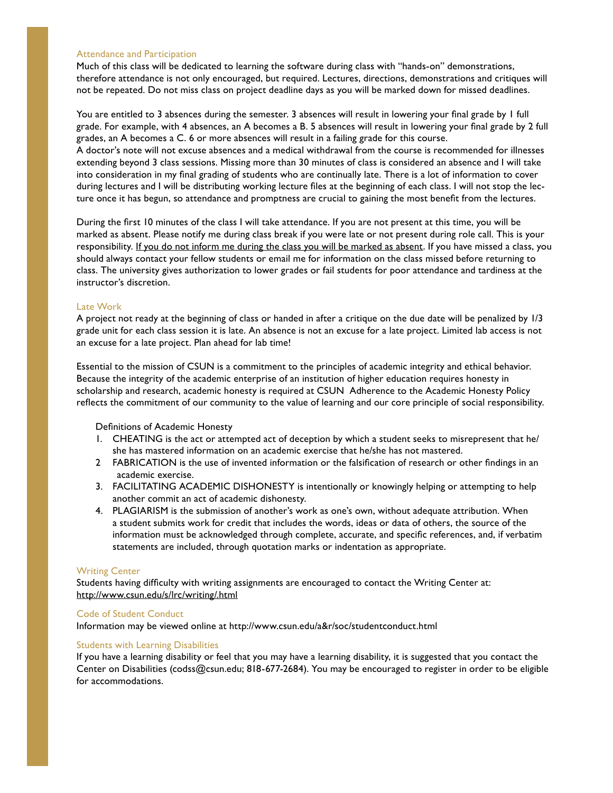#### Attendance and Participation

Much of this class will be dedicated to learning the software during class with "hands-on" demonstrations, therefore attendance is not only encouraged, but required. Lectures, directions, demonstrations and critiques will not be repeated. Do not miss class on project deadline days as you will be marked down for missed deadlines.

You are entitled to 3 absences during the semester. 3 absences will result in lowering your final grade by 1 full grade. For example, with 4 absences, an A becomes a B. 5 absences will result in lowering your final grade by 2 full grades, an A becomes a C. 6 or more absences will result in a failing grade for this course. A doctor's note will not excuse absences and a medical withdrawal from the course is recommended for illnesses extending beyond 3 class sessions. Missing more than 30 minutes of class is considered an absence and I will take into consideration in my final grading of students who are continually late. There is a lot of information to cover during lectures and I will be distributing working lecture files at the beginning of each class. I will not stop the lecture once it has begun, so attendance and promptness are crucial to gaining the most benefit from the lectures.

During the first 10 minutes of the class I will take attendance. If you are not present at this time, you will be marked as absent. Please notify me during class break if you were late or not present during role call. This is your responsibility. If you do not inform me during the class you will be marked as absent. If you have missed a class, you should always contact your fellow students or email me for information on the class missed before returning to class. The university gives authorization to lower grades or fail students for poor attendance and tardiness at the instructor's discretion.

#### Late Work

A project not ready at the beginning of class or handed in after a critique on the due date will be penalized by 1/3 grade unit for each class session it is late. An absence is not an excuse for a late project. Limited lab access is not an excuse for a late project. Plan ahead for lab time!

Essential to the mission of CSUN is a commitment to the principles of academic integrity and ethical behavior. Because the integrity of the academic enterprise of an institution of higher education requires honesty in scholarship and research, academic honesty is required at CSUN Adherence to the Academic Honesty Policy reflects the commitment of our community to the value of learning and our core principle of social responsibility.

Definitions of Academic Honesty

- 1. CHEATING is the act or attempted act of deception by which a student seeks to misrepresent that he/ she has mastered information on an academic exercise that he/she has not mastered.
- 2 FABRICATION is the use of invented information or the falsification of research or other findings in an academic exercise.
- 3. FACILITATING ACADEMIC DISHONESTY is intentionally or knowingly helping or attempting to help another commit an act of academic dishonesty.
- 4. PLAGIARISM is the submission of another's work as one's own, without adequate attribution. When a student submits work for credit that includes the words, ideas or data of others, the source of the information must be acknowledged through complete, accurate, and specific references, and, if verbatim statements are included, through quotation marks or indentation as appropriate.

#### Writing Center

Students having difficulty with writing assignments are encouraged to contact the Writing Center at: http://www.csun.edu/s/lrc/writing/.html

#### Code of Student Conduct

Information may be viewed online at http://www.csun.edu/a&r/soc/studentconduct.html

#### Students with Learning Disabilities

If you have a learning disability or feel that you may have a learning disability, it is suggested that you contact the Center on Disabilities (codss@csun.edu; 818-677-2684). You may be encouraged to register in order to be eligible for accommodations.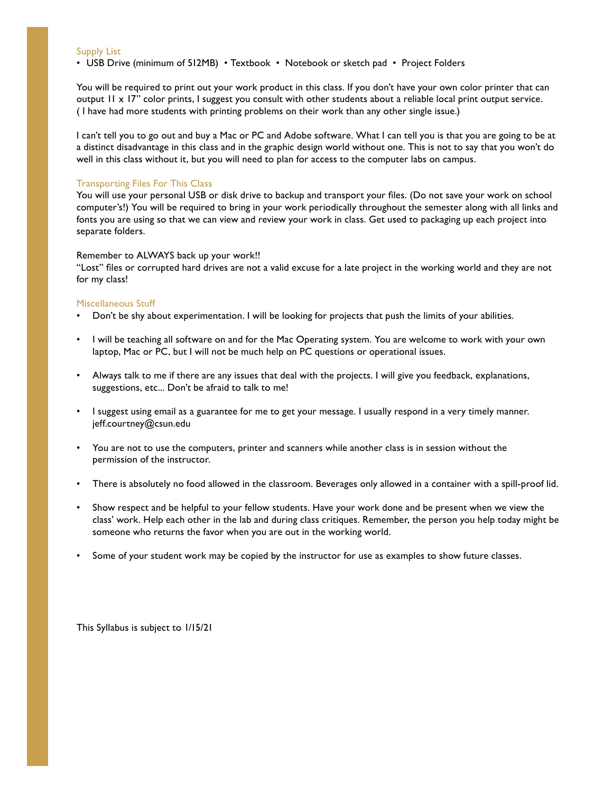Supply List

• USB Drive (minimum of 512MB) • Textbook • Notebook or sketch pad • Project Folders

You will be required to print out your work product in this class. If you don't have your own color printer that can output 11 x 17" color prints, I suggest you consult with other students about a reliable local print output service. ( I have had more students with printing problems on their work than any other single issue.)

I can't tell you to go out and buy a Mac or PC and Adobe software. What I can tell you is that you are going to be at a distinct disadvantage in this class and in the graphic design world without one. This is not to say that you won't do well in this class without it, but you will need to plan for access to the computer labs on campus.

#### Transporting Files For This Class

You will use your personal USB or disk drive to backup and transport your files. (Do not save your work on school computer's!) You will be required to bring in your work periodically throughout the semester along with all links and fonts you are using so that we can view and review your work in class. Get used to packaging up each project into separate folders.

#### Remember to ALWAYS back up your work!!

"Lost" files or corrupted hard drives are not a valid excuse for a late project in the working world and they are not for my class!

#### Miscellaneous Stuff

- Don't be shy about experimentation. I will be looking for projects that push the limits of your abilities.
- I will be teaching all software on and for the Mac Operating system. You are welcome to work with your own laptop, Mac or PC, but I will not be much help on PC questions or operational issues.
- Always talk to me if there are any issues that deal with the projects. I will give you feedback, explanations, suggestions, etc... Don't be afraid to talk to me!
- I suggest using email as a guarantee for me to get your message. I usually respond in a very timely manner. jeff.courtney@csun.edu
- You are not to use the computers, printer and scanners while another class is in session without the permission of the instructor.
- There is absolutely no food allowed in the classroom. Beverages only allowed in a container with a spill-proof lid.
- Show respect and be helpful to your fellow students. Have your work done and be present when we view the class' work. Help each other in the lab and during class critiques. Remember, the person you help today might be someone who returns the favor when you are out in the working world.
- Some of your student work may be copied by the instructor for use as examples to show future classes.

This Syllabus is subject to 1/15/21